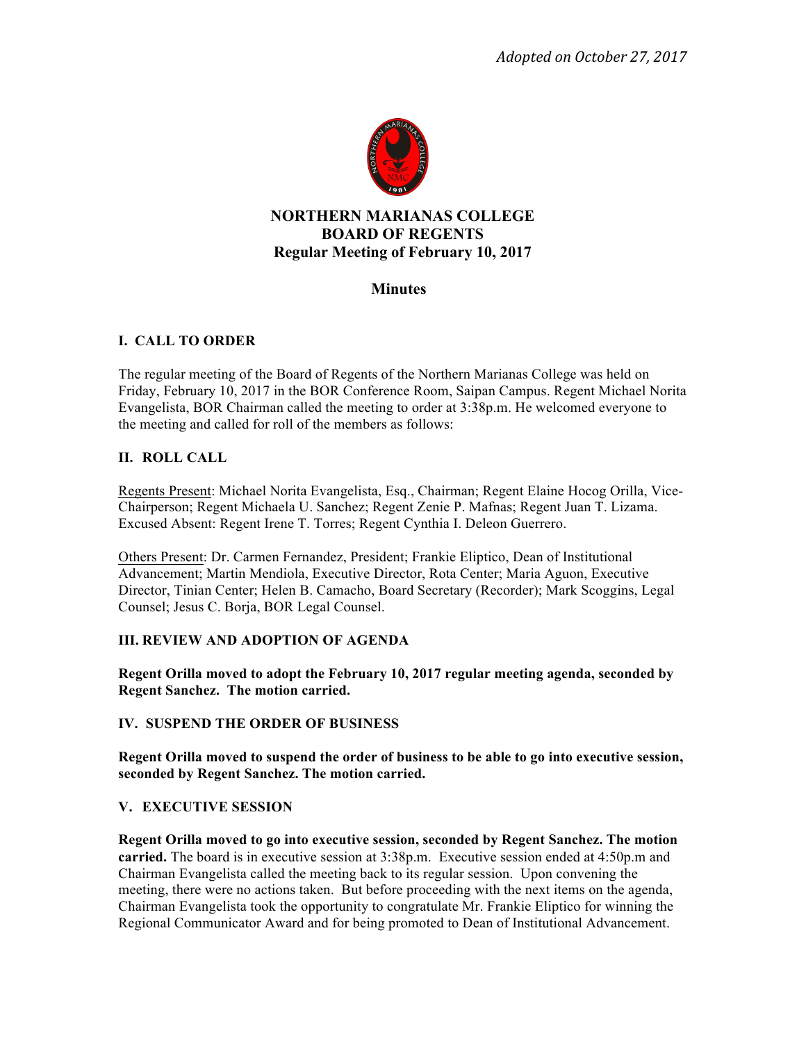

# **NORTHERN MARIANAS COLLEGE BOARD OF REGENTS Regular Meeting of February 10, 2017**

# **Minutes**

# **I. CALL TO ORDER**

The regular meeting of the Board of Regents of the Northern Marianas College was held on Friday, February 10, 2017 in the BOR Conference Room, Saipan Campus. Regent Michael Norita Evangelista, BOR Chairman called the meeting to order at 3:38p.m. He welcomed everyone to the meeting and called for roll of the members as follows:

## **II. ROLL CALL**

Regents Present: Michael Norita Evangelista, Esq., Chairman; Regent Elaine Hocog Orilla, Vice-Chairperson; Regent Michaela U. Sanchez; Regent Zenie P. Mafnas; Regent Juan T. Lizama. Excused Absent: Regent Irene T. Torres; Regent Cynthia I. Deleon Guerrero.

Others Present: Dr. Carmen Fernandez, President; Frankie Eliptico, Dean of Institutional Advancement; Martin Mendiola, Executive Director, Rota Center; Maria Aguon, Executive Director, Tinian Center; Helen B. Camacho, Board Secretary (Recorder); Mark Scoggins, Legal Counsel; Jesus C. Borja, BOR Legal Counsel.

# **III. REVIEW AND ADOPTION OF AGENDA**

**Regent Orilla moved to adopt the February 10, 2017 regular meeting agenda, seconded by Regent Sanchez. The motion carried.** 

## **IV. SUSPEND THE ORDER OF BUSINESS**

**Regent Orilla moved to suspend the order of business to be able to go into executive session, seconded by Regent Sanchez. The motion carried.** 

## **V. EXECUTIVE SESSION**

**Regent Orilla moved to go into executive session, seconded by Regent Sanchez. The motion carried.** The board is in executive session at 3:38p.m. Executive session ended at 4:50p.m and Chairman Evangelista called the meeting back to its regular session. Upon convening the meeting, there were no actions taken. But before proceeding with the next items on the agenda, Chairman Evangelista took the opportunity to congratulate Mr. Frankie Eliptico for winning the Regional Communicator Award and for being promoted to Dean of Institutional Advancement.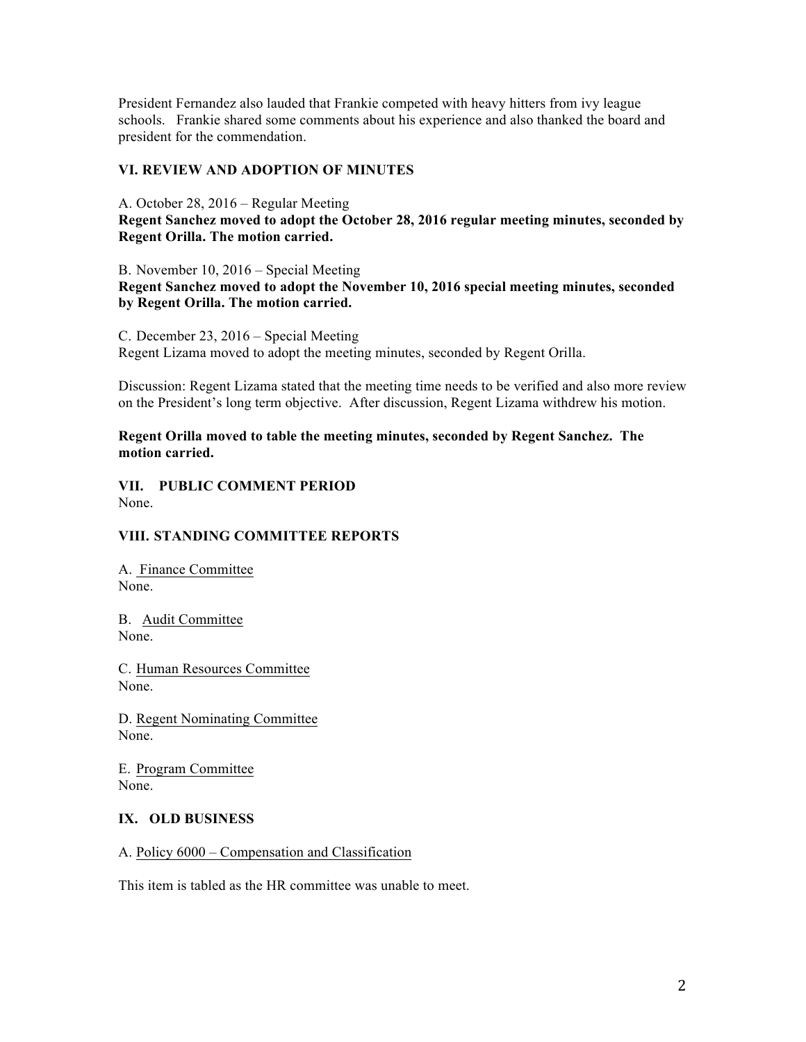President Fernandez also lauded that Frankie competed with heavy hitters from ivy league schools. Frankie shared some comments about his experience and also thanked the board and president for the commendation.

### **VI. REVIEW AND ADOPTION OF MINUTES**

A. October 28, 2016 – Regular Meeting **Regent Sanchez moved to adopt the October 28, 2016 regular meeting minutes, seconded by Regent Orilla. The motion carried.** 

B. November 10, 2016 – Special Meeting **Regent Sanchez moved to adopt the November 10, 2016 special meeting minutes, seconded by Regent Orilla. The motion carried.** 

C. December 23, 2016 – Special Meeting Regent Lizama moved to adopt the meeting minutes, seconded by Regent Orilla.

Discussion: Regent Lizama stated that the meeting time needs to be verified and also more review on the President's long term objective. After discussion, Regent Lizama withdrew his motion.

**Regent Orilla moved to table the meeting minutes, seconded by Regent Sanchez. The motion carried.** 

**VII. PUBLIC COMMENT PERIOD**  None.

## **VIII. STANDING COMMITTEE REPORTS**

A. Finance Committee None.

B. Audit Committee None.

C. Human Resources Committee None.

D. Regent Nominating Committee None.

E. Program Committee None.

### **IX. OLD BUSINESS**

### A. Policy 6000 – Compensation and Classification

This item is tabled as the HR committee was unable to meet.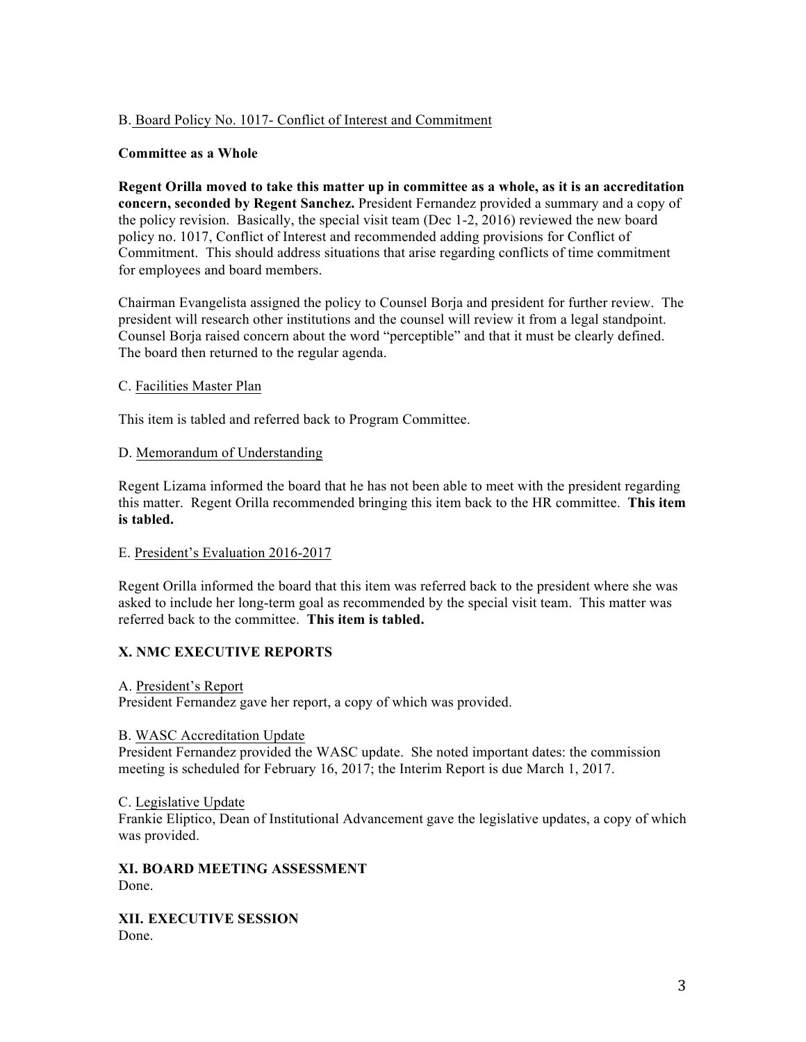## B. Board Policy No. 1017- Conflict of Interest and Commitment

#### **Committee as a Whole**

**Regent Orilla moved to take this matter up in committee as a whole, as it is an accreditation concern, seconded by Regent Sanchez.** President Fernandez provided a summary and a copy of the policy revision. Basically, the special visit team (Dec 1-2, 2016) reviewed the new board policy no. 1017, Conflict of Interest and recommended adding provisions for Conflict of Commitment. This should address situations that arise regarding conflicts of time commitment for employees and board members.

Chairman Evangelista assigned the policy to Counsel Borja and president for further review. The president will research other institutions and the counsel will review it from a legal standpoint. Counsel Borja raised concern about the word "perceptible" and that it must be clearly defined. The board then returned to the regular agenda.

#### C. Facilities Master Plan

This item is tabled and referred back to Program Committee.

#### D. Memorandum of Understanding

Regent Lizama informed the board that he has not been able to meet with the president regarding this matter. Regent Orilla recommended bringing this item back to the HR committee. **This item is tabled.** 

#### E. President's Evaluation 2016-2017

Regent Orilla informed the board that this item was referred back to the president where she was asked to include her long-term goal as recommended by the special visit team. This matter was referred back to the committee. **This item is tabled.** 

### **X. NMC EXECUTIVE REPORTS**

A. President's Report

President Fernandez gave her report, a copy of which was provided.

#### B. WASC Accreditation Update

President Fernandez provided the WASC update. She noted important dates: the commission meeting is scheduled for February 16, 2017; the Interim Report is due March 1, 2017.

#### C. Legislative Update

Frankie Eliptico, Dean of Institutional Advancement gave the legislative updates, a copy of which was provided.

**XI. BOARD MEETING ASSESSMENT**  Done.

**XII. EXECUTIVE SESSION** Done.